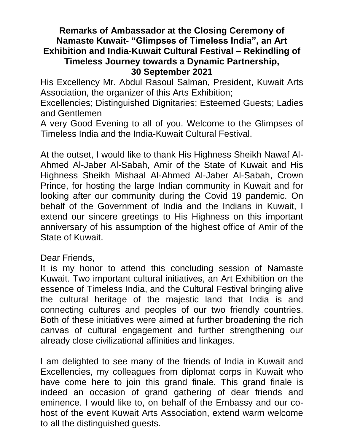## **Remarks of Ambassador at the Closing Ceremony of Namaste Kuwait- "Glimpses of Timeless India", an Art Exhibition and India-Kuwait Cultural Festival – Rekindling of Timeless Journey towards a Dynamic Partnership, 30 September 2021**

His Excellency Mr. Abdul Rasoul Salman, President, Kuwait Arts Association, the organizer of this Arts Exhibition;

Excellencies; Distinguished Dignitaries; Esteemed Guests; Ladies and Gentlemen

A very Good Evening to all of you. Welcome to the Glimpses of Timeless India and the India-Kuwait Cultural Festival.

At the outset, I would like to thank His Highness Sheikh Nawaf Al-Ahmed Al-Jaber Al-Sabah, Amir of the State of Kuwait and His Highness Sheikh Mishaal Al-Ahmed Al-Jaber Al-Sabah, Crown Prince, for hosting the large Indian community in Kuwait and for looking after our community during the Covid 19 pandemic. On behalf of the Government of India and the Indians in Kuwait, I extend our sincere greetings to His Highness on this important anniversary of his assumption of the highest office of Amir of the State of Kuwait.

## Dear Friends,

It is my honor to attend this concluding session of Namaste Kuwait. Two important cultural initiatives, an Art Exhibition on the essence of Timeless India, and the Cultural Festival bringing alive the cultural heritage of the majestic land that India is and connecting cultures and peoples of our two friendly countries. Both of these initiatives were aimed at further broadening the rich canvas of cultural engagement and further strengthening our already close civilizational affinities and linkages.

I am delighted to see many of the friends of India in Kuwait and Excellencies, my colleagues from diplomat corps in Kuwait who have come here to join this grand finale. This grand finale is indeed an occasion of grand gathering of dear friends and eminence. I would like to, on behalf of the Embassy and our cohost of the event Kuwait Arts Association, extend warm welcome to all the distinguished guests.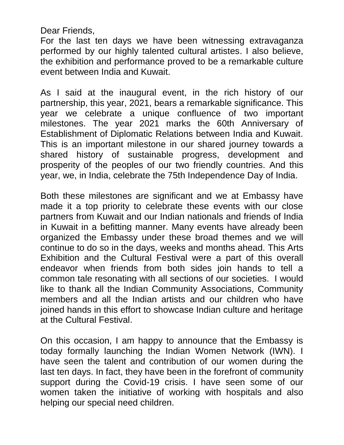Dear Friends,

For the last ten days we have been witnessing extravaganza performed by our highly talented cultural artistes. I also believe, the exhibition and performance proved to be a remarkable culture event between India and Kuwait.

As I said at the inaugural event, in the rich history of our partnership, this year, 2021, bears a remarkable significance. This year we celebrate a unique confluence of two important milestones. The year 2021 marks the 60th Anniversary of Establishment of Diplomatic Relations between India and Kuwait. This is an important milestone in our shared journey towards a shared history of sustainable progress, development and prosperity of the peoples of our two friendly countries. And this year, we, in India, celebrate the 75th Independence Day of India.

Both these milestones are significant and we at Embassy have made it a top priority to celebrate these events with our close partners from Kuwait and our Indian nationals and friends of India in Kuwait in a befitting manner. Many events have already been organized the Embassy under these broad themes and we will continue to do so in the days, weeks and months ahead. This Arts Exhibition and the Cultural Festival were a part of this overall endeavor when friends from both sides join hands to tell a common tale resonating with all sections of our societies. I would like to thank all the Indian Community Associations, Community members and all the Indian artists and our children who have joined hands in this effort to showcase Indian culture and heritage at the Cultural Festival.

On this occasion, I am happy to announce that the Embassy is today formally launching the Indian Women Network (IWN). I have seen the talent and contribution of our women during the last ten days. In fact, they have been in the forefront of community support during the Covid-19 crisis. I have seen some of our women taken the initiative of working with hospitals and also helping our special need children.